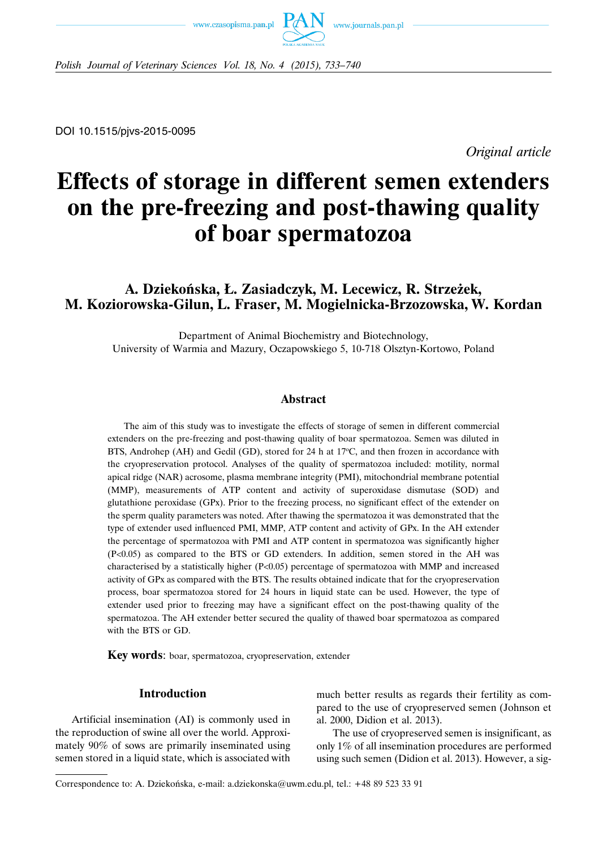



*Polish Journal of Veterinary Sciences Vol. 18, No. 4 (2015), 733–740*

*Original article*

# **Effects of storage in different semen extenders on the pre-freezing and post-thawing quality of boar spermatozoa**

## **A. Dziekońska, Ł. Zasiadczyk, M. Lecewicz, R. Strzeżek, M. Koziorowska-Gilun, L. Fraser, M. Mogielnicka-Brzozowska, W. Kordan**

Department of Animal Biochemistry and Biotechnology, University of Warmia and Mazury, Oczapowskiego 5, 10-718 Olsztyn-Kortowo, Poland

## **Abstract**

The aim of this study was to investigate the effects of storage of semen in different commercial extenders on the pre-freezing and post-thawing quality of boar spermatozoa. Semen was diluted in BTS, Androhep (AH) and Gedil (GD), stored for 24 h at  $17^{\circ}$ C, and then frozen in accordance with the cryopreservation protocol. Analyses of the quality of spermatozoa included: motility, normal apical ridge (NAR) acrosome, plasma membrane integrity (PMI), mitochondrial membrane potential (MMP), measurements of ATP content and activity of superoxidase dismutase (SOD) and glutathione peroxidase (GPx). Prior to the freezing process, no significant effect of the extender on the sperm quality parameters was noted. After thawing the spermatozoa it was demonstrated that the type of extender used influenced PMI, MMP, ATP content and activity of GPx. In the AH extender the percentage of spermatozoa with PMI and ATP content in spermatozoa was significantly higher (P<0.05) as compared to the BTS or GD extenders. In addition, semen stored in the AH was characterised by a statistically higher (P<0.05) percentage of spermatozoa with MMP and increased activity of GPx as compared with the BTS. The results obtained indicate that for the cryopreservation process, boar spermatozoa stored for 24 hours in liquid state can be used. However, the type of extender used prior to freezing may have a significant effect on the post-thawing quality of the spermatozoa. The AH extender better secured the quality of thawed boar spermatozoa as compared with the BTS or GD.

**Key words**: boar, spermatozoa, cryopreservation, extender

## **Introduction**

Artificial insemination (AI) is commonly used in the reproduction of swine all over the world. Approximately 90% of sows are primarily inseminated using semen stored in a liquid state, which is associated with much better results as regards their fertility as compared to the use of cryopreserved semen (Johnson et al. 2000, Didion et al. 2013).

The use of cryopreserved semen is insignificant, as only 1% of all insemination procedures are performed using such semen (Didion et al. 2013). However, a sig-

Correspondence to: A. Dziekońska, e-mail: a.dziekonska@uwm.edu.pl, tel.: +48 89 523 33 91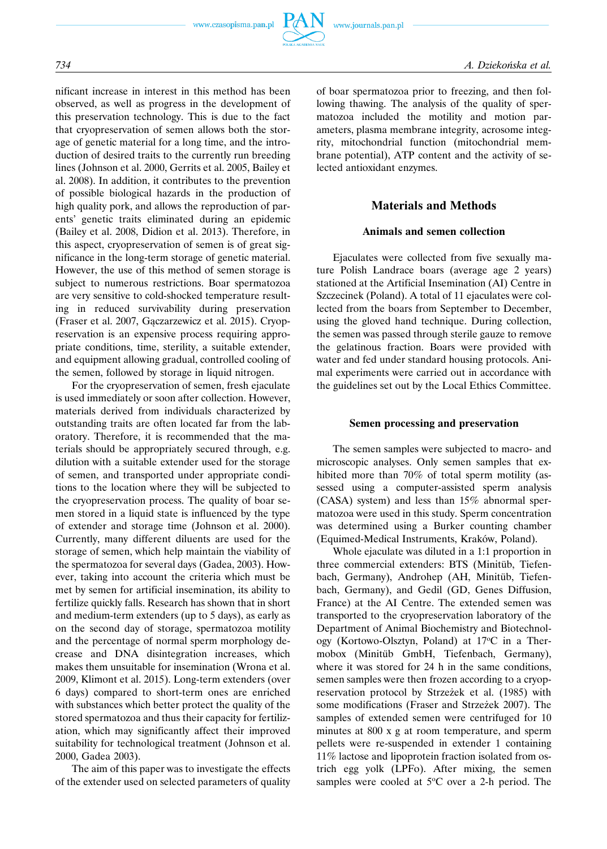

nificant increase in interest in this method has been observed, as well as progress in the development of this preservation technology. This is due to the fact that cryopreservation of semen allows both the storage of genetic material for a long time, and the introduction of desired traits to the currently run breeding lines (Johnson et al. 2000, Gerrits et al. 2005, Bailey et al. 2008). In addition, it contributes to the prevention of possible biological hazards in the production of high quality pork, and allows the reproduction of parents' genetic traits eliminated during an epidemic (Bailey et al. 2008, Didion et al. 2013). Therefore, in this aspect, cryopreservation of semen is of great significance in the long-term storage of genetic material. However, the use of this method of semen storage is subject to numerous restrictions. Boar spermatozoa are very sensitive to cold-shocked temperature resulting in reduced survivability during preservation (Fraser et al. 2007, Gączarzewicz et al. 2015). Cryopreservation is an expensive process requiring appropriate conditions, time, sterility, a suitable extender, and equipment allowing gradual, controlled cooling of the semen, followed by storage in liquid nitrogen.

For the cryopreservation of semen, fresh ejaculate is used immediately or soon after collection. However, materials derived from individuals characterized by outstanding traits are often located far from the laboratory. Therefore, it is recommended that the materials should be appropriately secured through, e.g. dilution with a suitable extender used for the storage of semen, and transported under appropriate conditions to the location where they will be subjected to the cryopreservation process. The quality of boar semen stored in a liquid state is influenced by the type of extender and storage time (Johnson et al. 2000). Currently, many different diluents are used for the storage of semen, which help maintain the viability of the spermatozoa for several days (Gadea, 2003). However, taking into account the criteria which must be met by semen for artificial insemination, its ability to fertilize quickly falls. Research has shown that in short and medium-term extenders (up to 5 days), as early as on the second day of storage, spermatozoa motility and the percentage of normal sperm morphology decrease and DNA disintegration increases, which makes them unsuitable for insemination (Wrona et al. 2009, Klimont et al. 2015). Long-term extenders (over 6 days) compared to short-term ones are enriched with substances which better protect the quality of the stored spermatozoa and thus their capacity for fertilization, which may significantly affect their improved suitability for technological treatment (Johnson et al. 2000, Gadea 2003).

The aim of this paper was to investigate the effects of the extender used on selected parameters of quality of boar spermatozoa prior to freezing, and then following thawing. The analysis of the quality of spermatozoa included the motility and motion parameters, plasma membrane integrity, acrosome integrity, mitochondrial function (mitochondrial membrane potential), ATP content and the activity of selected antioxidant enzymes.

## **Materials and Methods**

## **Animals and semen collection**

Ejaculates were collected from five sexually mature Polish Landrace boars (average age 2 years) stationed at the Artificial Insemination (AI) Centre in Szczecinek (Poland). A total of 11 ejaculates were collected from the boars from September to December, using the gloved hand technique. During collection, the semen was passed through sterile gauze to remove the gelatinous fraction. Boars were provided with water and fed under standard housing protocols. Animal experiments were carried out in accordance with the guidelines set out by the Local Ethics Committee.

## **Semen processing and preservation**

The semen samples were subjected to macro- and microscopic analyses. Only semen samples that exhibited more than 70% of total sperm motility (assessed using a computer-assisted sperm analysis (CASA) system) and less than 15% abnormal spermatozoa were used in this study. Sperm concentration was determined using a Burker counting chamber (Equimed-Medical Instruments, Kraków, Poland).

Whole ejaculate was diluted in a 1:1 proportion in three commercial extenders: BTS (Minitüb, Tiefenbach, Germany), Androhep (AH, Minitüb, Tiefenbach, Germany), and Gedil (GD, Genes Diffusion, France) at the AI Centre. The extended semen was transported to the cryopreservation laboratory of the Department of Animal Biochemistry and Biotechnology (Kortowo-Olsztyn, Poland) at 17°C in a Thermobox (Minitüb GmbH, Tiefenbach, Germany), where it was stored for 24 h in the same conditions, semen samples were then frozen according to a cryopreservation protocol by Strzeżek et al. (1985) with some modifications (Fraser and Strzeżek 2007). The samples of extended semen were centrifuged for 10 minutes at 800 x g at room temperature, and sperm pellets were re-suspended in extender 1 containing 11% lactose and lipoprotein fraction isolated from ostrich egg yolk (LPFo). After mixing, the semen samples were cooled at 5°C over a 2-h period. The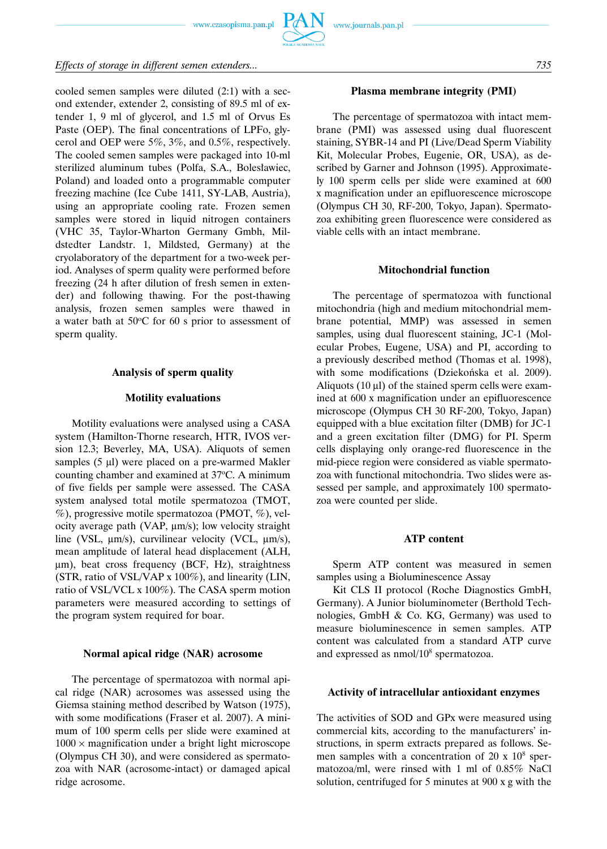## *Effects of storage in different semen extenders... 735*

cooled semen samples were diluted (2:1) with a second extender, extender 2, consisting of 89.5 ml of extender 1, 9 ml of glycerol, and 1.5 ml of Orvus Es Paste (OEP). The final concentrations of LPFo, glycerol and OEP were 5%, 3%, and 0.5%, respectively. The cooled semen samples were packaged into 10-ml sterilized aluminum tubes (Polfa, S.A., Bolesławiec, Poland) and loaded onto a programmable computer freezing machine (Ice Cube 1411, SY-LAB, Austria), using an appropriate cooling rate. Frozen semen samples were stored in liquid nitrogen containers (VHC 35, Taylor-Wharton Germany Gmbh, Mildstedter Landstr. 1, Mildsted, Germany) at the cryolaboratory of the department for a two-week period. Analyses of sperm quality were performed before freezing (24 h after dilution of fresh semen in extender) and following thawing. For the post-thawing analysis, frozen semen samples were thawed in a water bath at 50°C for 60 s prior to assessment of sperm quality.

## **Analysis of sperm quality**

#### **Motility evaluations**

Motility evaluations were analysed using a CASA system (Hamilton-Thorne research, HTR, IVOS version 12.3; Beverley, MA, USA). Aliquots of semen samples (5 μl) were placed on a pre-warmed Makler counting chamber and examined at 37°C. A minimum of five fields per sample were assessed. The CASA system analysed total motile spermatozoa (TMOT,  $\%$ ), progressive motile spermatozoa (PMOT,  $\%$ ), velocity average path (VAP, μm/s); low velocity straight line (VSL, μm/s), curvilinear velocity (VCL, μm/s), mean amplitude of lateral head displacement (ALH, μm), beat cross frequency (BCF, Hz), straightness (STR, ratio of VSL/VAP x 100%), and linearity (LIN, ratio of VSL/VCL x 100%). The CASA sperm motion parameters were measured according to settings of the program system required for boar.

#### **Normal apical ridge (NAR) acrosome**

The percentage of spermatozoa with normal apical ridge (NAR) acrosomes was assessed using the Giemsa staining method described by Watson (1975), with some modifications (Fraser et al. 2007). A minimum of 100 sperm cells per slide were examined at  $1000 \times$  magnification under a bright light microscope (Olympus CH 30), and were considered as spermatozoa with NAR (acrosome-intact) or damaged apical ridge acrosome.

## **Plasma membrane integrity (PMI)**

The percentage of spermatozoa with intact membrane (PMI) was assessed using dual fluorescent staining, SYBR-14 and PI (Live/Dead Sperm Viability Kit, Molecular Probes, Eugenie, OR, USA), as described by Garner and Johnson (1995). Approximately 100 sperm cells per slide were examined at 600 x magnification under an epifluorescence microscope (Olympus CH 30, RF-200, Tokyo, Japan). Spermatozoa exhibiting green fluorescence were considered as viable cells with an intact membrane.

#### **Mitochondrial function**

The percentage of spermatozoa with functional mitochondria (high and medium mitochondrial membrane potential, MMP) was assessed in semen samples, using dual fluorescent staining, JC-1 (Molecular Probes, Eugene, USA) and PI, according to a previously described method (Thomas et al. 1998), with some modifications (Dziekońska et al. 2009). Aliquots  $(10 \mu l)$  of the stained sperm cells were examined at 600 x magnification under an epifluorescence microscope (Olympus CH 30 RF-200, Tokyo, Japan) equipped with a blue excitation filter (DMB) for JC-1 and a green excitation filter (DMG) for PI. Sperm cells displaying only orange-red fluorescence in the mid-piece region were considered as viable spermatozoa with functional mitochondria. Two slides were assessed per sample, and approximately 100 spermatozoa were counted per slide.

## **ATP content**

Sperm ATP content was measured in semen samples using a Bioluminescence Assay

Kit CLS II protocol (Roche Diagnostics GmbH, Germany). A Junior bioluminometer (Berthold Technologies, GmbH & Co. KG, Germany) was used to measure bioluminescence in semen samples. ATP content was calculated from a standard ATP curve and expressed as nmol/10<sup>8</sup> spermatozoa.

#### **Activity of intracellular antioxidant enzymes**

The activities of SOD and GPx were measured using commercial kits, according to the manufacturers' instructions, in sperm extracts prepared as follows. Semen samples with a concentration of  $20 \times 10^8$  spermatozoa/ml, were rinsed with 1 ml of 0.85% NaCl solution, centrifuged for 5 minutes at 900 x g with the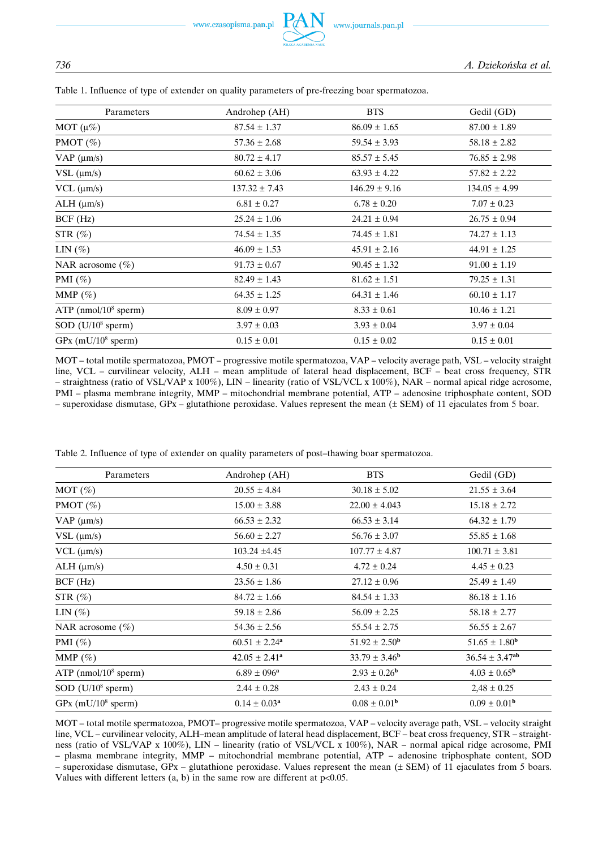| Parameters                   | Androhep (AH)     | <b>BTS</b>        | Gedil (GD)        |
|------------------------------|-------------------|-------------------|-------------------|
| MOT $(\mu\%)$                | $87.54 \pm 1.37$  | $86.09 \pm 1.65$  | $87.00 \pm 1.89$  |
| PMOT $(\%)$                  | $57.36 \pm 2.68$  | $59.54 \pm 3.93$  | $58.18 \pm 2.82$  |
| $VAP$ ( $\mu$ m/s)           | $80.72 \pm 4.17$  | $85.57 \pm 5.45$  | $76.85 \pm 2.98$  |
| $VSL$ ( $\mu$ m/s)           | $60.62 \pm 3.06$  | $63.93 \pm 4.22$  | $57.82 \pm 2.22$  |
| $VCL$ ( $\mu$ m/s)           | $137.32 \pm 7.43$ | $146.29 \pm 9.16$ | $134.05 \pm 4.99$ |
| $ALH$ ( $\mu$ m/s)           | $6.81 \pm 0.27$   | $6.78 \pm 0.20$   | $7.07 \pm 0.23$   |
| $BCF$ (Hz)                   | $25.24 \pm 1.06$  | $24.21 \pm 0.94$  | $26.75 \pm 0.94$  |
| STR $(\%)$                   | $74.54 \pm 1.35$  | $74.45 \pm 1.81$  | $74.27 \pm 1.13$  |
| LIN $(\%)$                   | $46.09 \pm 1.53$  | $45.91 \pm 2.16$  | $44.91 \pm 1.25$  |
| NAR acrosome $(\% )$         | $91.73 \pm 0.67$  | $90.45 \pm 1.32$  | $91.00 \pm 1.19$  |
| PMI $(\%)$                   | $82.49 \pm 1.43$  | $81.62 \pm 1.51$  | $79.25 \pm 1.31$  |
| MMP $(\%)$                   | $64.35 \pm 1.25$  | $64.31 \pm 1.46$  | $60.10 \pm 1.17$  |
| ATP ( $nmol/108$ sperm)      | $8.09 \pm 0.97$   | $8.33 \pm 0.61$   | $10.46 \pm 1.21$  |
| SOD $(U/10^8 \text{ sperm})$ | $3.97 \pm 0.03$   | $3.93 \pm 0.04$   | $3.97 \pm 0.04$   |
| GPx $(mU/10^8$ sperm)        | $0.15 \pm 0.01$   | $0.15 \pm 0.02$   | $0.15 \pm 0.01$   |

Table 1. Influence of type of extender on quality parameters of pre-freezing boar spermatozoa.

MOT – total motile spermatozoa, PMOT – progressive motile spermatozoa, VAP – velocity average path, VSL – velocity straight line, VCL – curvilinear velocity, ALH – mean amplitude of lateral head displacement, BCF – beat cross frequency, STR – straightness (ratio of VSL/VAP x 100%), LIN – linearity (ratio of VSL/VCL x 100%), NAR – normal apical ridge acrosome, PMI – plasma membrane integrity, MMP – mitochondrial membrane potential, ATP – adenosine triphosphate content, SOD – superoxidase dismutase, GPx – glutathione peroxidase. Values represent the mean  $(\pm$  SEM) of 11 ejaculates from 5 boar.

Table 2. Influence of type of extender on quality parameters of post–thawing boar spermatozoa.

| Parameters                   | Androhep (AH)                 | <b>BTS</b>               | Gedil (GD)                     |
|------------------------------|-------------------------------|--------------------------|--------------------------------|
| MOT(%)                       | $20.55 \pm 4.84$              | $30.18 \pm 5.02$         | $21.55 \pm 3.64$               |
| PMOT $(\%)$                  | $15.00 \pm 3.88$              | $22.00 \pm 4.043$        | $15.18 \pm 2.72$               |
| $VAP$ ( $\mu$ m/s)           | $66.53 \pm 2.32$              | $66.53 \pm 3.14$         | $64.32 \pm 1.79$               |
| $VSL$ ( $\mu$ m/s)           | $56.60 \pm 2.27$              | $56.76 \pm 3.07$         | $55.85 \pm 1.68$               |
| $VCL$ ( $\mu$ m/s)           | $103.24 \pm 4.45$             | $107.77 \pm 4.87$        | $100.71 \pm 3.81$              |
| $ALH$ ( $\mu$ m/s)           | $4.50 \pm 0.31$               | $4.72 \pm 0.24$          | $4.45 \pm 0.23$                |
| $BCF$ (Hz)                   | $23.56 \pm 1.86$              | $27.12 \pm 0.96$         | $25.49 \pm 1.49$               |
| STR $(\%)$                   | $84.72 \pm 1.66$              | $84.54 \pm 1.33$         | $86.18 \pm 1.16$               |
| LIN $(\%)$                   | $59.18 \pm 2.86$              | $56.09 \pm 2.25$         | $58.18 \pm 2.77$               |
| NAR acrosome $(\% )$         | $54.36 \pm 2.56$              | $55.54 \pm 2.75$         | $56.55 \pm 2.67$               |
| PMI $(\% )$                  | $60.51 \pm 2.24$ <sup>a</sup> | $51.92 \pm 2.50^{\rm b}$ | $51.65 \pm 1.80^{\rm b}$       |
| MMP $(\%)$                   | $42.05 \pm 2.41^a$            | $33.79 \pm 3.46^{\rm b}$ | $36.54 \pm 3.47$ <sup>ab</sup> |
| ATP ( $nmol/108$ sperm)      | $6.89 \pm 0.96^a$             | $2.93 \pm 0.26^{\rm b}$  | $4.03 \pm 0.65^{\rm b}$        |
| SOD $(U/10^8 \text{ sperm})$ | $2.44 \pm 0.28$               | $2.43 \pm 0.24$          | $2,48 \pm 0.25$                |
| GPx $(mU/10^8$ sperm)        | $0.14 \pm 0.03^a$             | $0.08 \pm 0.01^{\rm b}$  | $0.09 \pm 0.01^{\rm b}$        |

MOT – total motile spermatozoa, PMOT– progressive motile spermatozoa, VAP – velocity average path, VSL – velocity straight line, VCL – curvilinear velocity, ALH–mean amplitude of lateral head displacement, BCF – beat cross frequency, STR – straightness (ratio of VSL/VAP x 100%), LIN – linearity (ratio of VSL/VCL x 100%), NAR – normal apical ridge acrosome, PMI – plasma membrane integrity, MMP – mitochondrial membrane potential, ATP – adenosine triphosphate content, SOD – superoxidase dismutase, GPx – glutathione peroxidase. Values represent the mean  $(±$  SEM) of 11 ejaculates from 5 boars. Values with different letters  $(a, b)$  in the same row are different at  $p<0.05$ .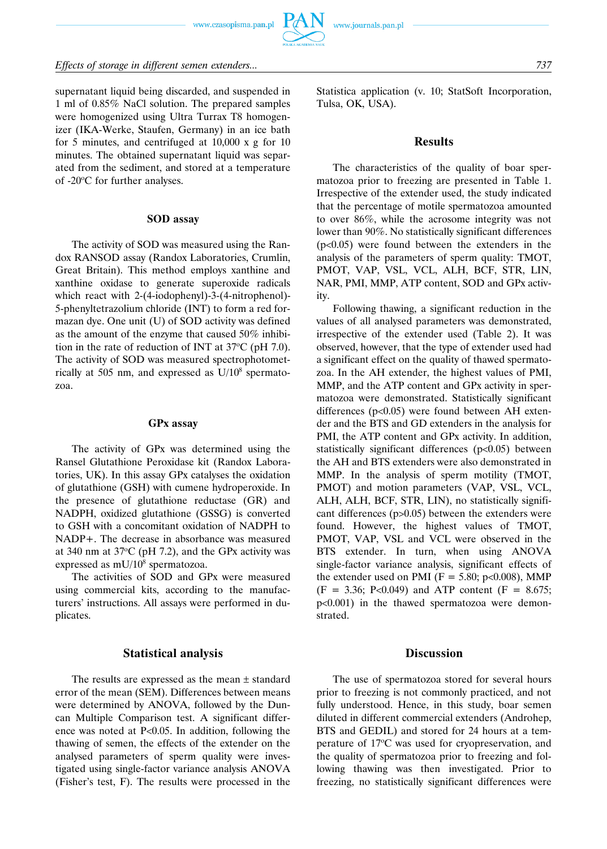## *Effects of storage in different semen extenders... 737*

supernatant liquid being discarded, and suspended in 1 ml of 0.85% NaCl solution. The prepared samples were homogenized using Ultra Turrax T8 homogenizer (IKA-Werke, Staufen, Germany) in an ice bath for 5 minutes, and centrifuged at 10,000 x g for 10 minutes. The obtained supernatant liquid was separated from the sediment, and stored at a temperature of -20°C for further analyses.

#### **SOD assay**

The activity of SOD was measured using the Randox RANSOD assay (Randox Laboratories, Crumlin, Great Britain). This method employs xanthine and xanthine oxidase to generate superoxide radicals which react with 2-(4-iodophenyl)-3-(4-nitrophenol)- 5-phenyltetrazolium chloride (INT) to form a red formazan dye. One unit (U) of SOD activity was defined as the amount of the enzyme that caused 50% inhibition in the rate of reduction of INT at  $37^{\circ}$ C (pH 7.0). The activity of SOD was measured spectrophotometrically at 505 nm, and expressed as  $U/10^8$  spermatozoa.

#### **GPx assay**

The activity of GPx was determined using the Ransel Glutathione Peroxidase kit (Randox Laboratories, UK). In this assay GPx catalyses the oxidation of glutathione (GSH) with cumene hydroperoxide. In the presence of glutathione reductase (GR) and NADPH, oxidized glutathione (GSSG) is converted to GSH with a concomitant oxidation of NADPH to NADP+. The decrease in absorbance was measured at 340 nm at  $37^{\circ}$ C (pH 7.2), and the GPx activity was expressed as mU/10<sup>8</sup> spermatozoa.

The activities of SOD and GPx were measured using commercial kits, according to the manufacturers' instructions. All assays were performed in duplicates.

## **Statistical analysis**

The results are expressed as the mean  $\pm$  standard error of the mean (SEM). Differences between means were determined by ANOVA, followed by the Duncan Multiple Comparison test. A significant difference was noted at P<0.05. In addition, following the thawing of semen, the effects of the extender on the analysed parameters of sperm quality were investigated using single-factor variance analysis ANOVA (Fisher's test, F). The results were processed in the Statistica application (v. 10; StatSoft Incorporation, Tulsa, OK, USA).

#### **Results**

The characteristics of the quality of boar spermatozoa prior to freezing are presented in Table 1. Irrespective of the extender used, the study indicated that the percentage of motile spermatozoa amounted to over 86%, while the acrosome integrity was not lower than 90%. No statistically significant differences (p<0.05) were found between the extenders in the analysis of the parameters of sperm quality: TMOT, PMOT, VAP, VSL, VCL, ALH, BCF, STR, LIN, NAR, PMI, MMP, ATP content, SOD and GPx activity.

Following thawing, a significant reduction in the values of all analysed parameters was demonstrated, irrespective of the extender used (Table 2). It was observed, however, that the type of extender used had a significant effect on the quality of thawed spermatozoa. In the AH extender, the highest values of PMI, MMP, and the ATP content and GPx activity in spermatozoa were demonstrated. Statistically significant differences ( $p<0.05$ ) were found between AH extender and the BTS and GD extenders in the analysis for PMI, the ATP content and GPx activity. In addition, statistically significant differences (p<0.05) between the AH and BTS extenders were also demonstrated in MMP. In the analysis of sperm motility (TMOT, PMOT) and motion parameters (VAP, VSL, VCL, ALH, ALH, BCF, STR, LIN), no statistically significant differences (p>0.05) between the extenders were found. However, the highest values of TMOT, PMOT, VAP, VSL and VCL were observed in the BTS extender. In turn, when using ANOVA single-factor variance analysis, significant effects of the extender used on PMI (F = 5.80; p<0.008), MMP  $(F = 3.36; P<0.049)$  and ATP content  $(F = 8.675;$ p<0.001) in the thawed spermatozoa were demonstrated.

## **Discussion**

The use of spermatozoa stored for several hours prior to freezing is not commonly practiced, and not fully understood. Hence, in this study, boar semen diluted in different commercial extenders (Androhep, BTS and GEDIL) and stored for 24 hours at a temperature of 17°C was used for cryopreservation, and the quality of spermatozoa prior to freezing and following thawing was then investigated. Prior to freezing, no statistically significant differences were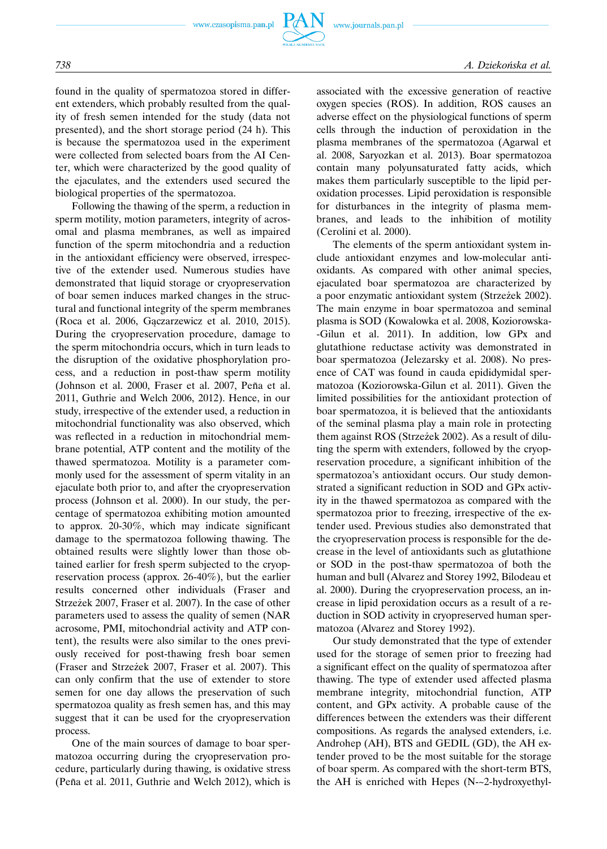

found in the quality of spermatozoa stored in different extenders, which probably resulted from the quality of fresh semen intended for the study (data not presented), and the short storage period (24 h). This is because the spermatozoa used in the experiment were collected from selected boars from the AI Center, which were characterized by the good quality of the ejaculates, and the extenders used secured the biological properties of the spermatozoa.

Following the thawing of the sperm, a reduction in sperm motility, motion parameters, integrity of acrosomal and plasma membranes, as well as impaired function of the sperm mitochondria and a reduction in the antioxidant efficiency were observed, irrespective of the extender used. Numerous studies have demonstrated that liquid storage or cryopreservation of boar semen induces marked changes in the structural and functional integrity of the sperm membranes (Roca et al. 2006, Gączarzewicz et al. 2010, 2015). During the cryopreservation procedure, damage to the sperm mitochondria occurs, which in turn leads to the disruption of the oxidative phosphorylation process, and a reduction in post-thaw sperm motility (Johnson et al. 2000, Fraser et al. 2007, Peña et al. 2011, Guthrie and Welch 2006, 2012). Hence, in our study, irrespective of the extender used, a reduction in mitochondrial functionality was also observed, which was reflected in a reduction in mitochondrial membrane potential, ATP content and the motility of the thawed spermatozoa. Motility is a parameter commonly used for the assessment of sperm vitality in an ejaculate both prior to, and after the cryopreservation process (Johnson et al. 2000). In our study, the percentage of spermatozoa exhibiting motion amounted to approx. 20-30%, which may indicate significant damage to the spermatozoa following thawing. The obtained results were slightly lower than those obtained earlier for fresh sperm subjected to the cryopreservation process (approx. 26-40%), but the earlier results concerned other individuals (Fraser and Strzeżek 2007, Fraser et al. 2007). In the case of other parameters used to assess the quality of semen (NAR acrosome, PMI, mitochondrial activity and ATP content), the results were also similar to the ones previously received for post-thawing fresh boar semen (Fraser and Strzeżek 2007, Fraser et al. 2007). This can only confirm that the use of extender to store semen for one day allows the preservation of such spermatozoa quality as fresh semen has, and this may suggest that it can be used for the cryopreservation process.

One of the main sources of damage to boar spermatozoa occurring during the cryopreservation procedure, particularly during thawing, is oxidative stress (Peña et al. 2011, Guthrie and Welch 2012), which is associated with the excessive generation of reactive oxygen species (ROS). In addition, ROS causes an adverse effect on the physiological functions of sperm cells through the induction of peroxidation in the plasma membranes of the spermatozoa (Agarwal et al. 2008, Saryozkan et al. 2013). Boar spermatozoa contain many polyunsaturated fatty acids, which makes them particularly susceptible to the lipid peroxidation processes. Lipid peroxidation is responsible for disturbances in the integrity of plasma membranes, and leads to the inhibition of motility (Cerolini et al. 2000).

The elements of the sperm antioxidant system include antioxidant enzymes and low-molecular antioxidants. As compared with other animal species, ejaculated boar spermatozoa are characterized by a poor enzymatic antioxidant system (Strzeżek 2002). The main enzyme in boar spermatozoa and seminal plasma is SOD (Kowalowka et al. 2008, Koziorowska- -Gilun et al. 2011). In addition, low GPx and glutathione reductase activity was demonstrated in boar spermatozoa (Jelezarsky et al. 2008). No presence of CAT was found in cauda epididymidal spermatozoa (Koziorowska-Gilun et al. 2011). Given the limited possibilities for the antioxidant protection of boar spermatozoa, it is believed that the antioxidants of the seminal plasma play a main role in protecting them against ROS (Strzeżek 2002). As a result of diluting the sperm with extenders, followed by the cryopreservation procedure, a significant inhibition of the spermatozoa's antioxidant occurs. Our study demonstrated a significant reduction in SOD and GPx activity in the thawed spermatozoa as compared with the spermatozoa prior to freezing, irrespective of the extender used. Previous studies also demonstrated that the cryopreservation process is responsible for the decrease in the level of antioxidants such as glutathione or SOD in the post-thaw spermatozoa of both the human and bull (Alvarez and Storey 1992, Bilodeau et al. 2000). During the cryopreservation process, an increase in lipid peroxidation occurs as a result of a reduction in SOD activity in cryopreserved human spermatozoa (Alvarez and Storey 1992).

Our study demonstrated that the type of extender used for the storage of semen prior to freezing had a significant effect on the quality of spermatozoa after thawing. The type of extender used affected plasma membrane integrity, mitochondrial function, ATP content, and GPx activity. A probable cause of the differences between the extenders was their different compositions. As regards the analysed extenders, i.e. Androhep (AH), BTS and GEDIL (GD), the AH extender proved to be the most suitable for the storage of boar sperm. As compared with the short-term BTS, the AH is enriched with Hepes (N-~2-hydroxyethyl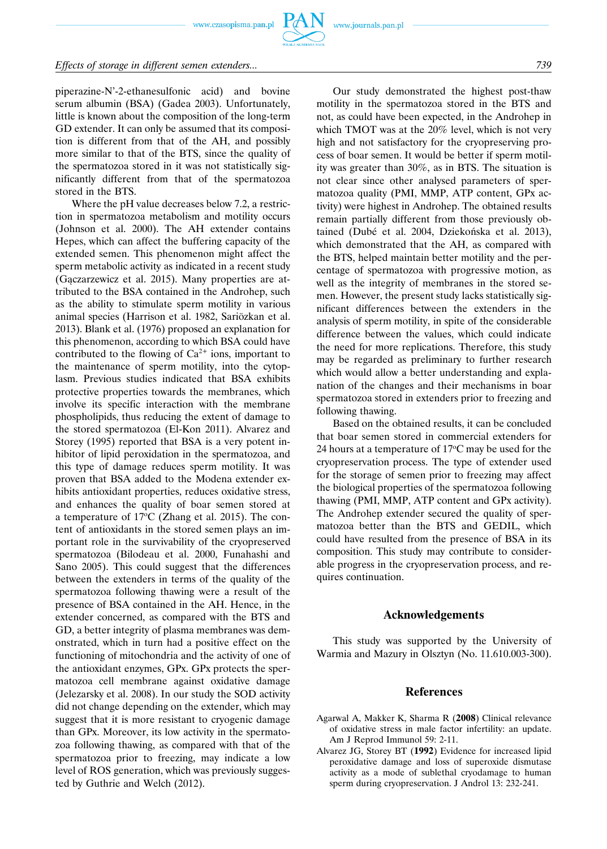piperazine-N'-2-ethanesulfonic acid) and bovine serum albumin (BSA) (Gadea 2003). Unfortunately, little is known about the composition of the long-term GD extender. It can only be assumed that its composition is different from that of the AH, and possibly more similar to that of the BTS, since the quality of the spermatozoa stored in it was not statistically significantly different from that of the spermatozoa stored in the BTS.

Where the pH value decreases below 7.2, a restriction in spermatozoa metabolism and motility occurs (Johnson et al. 2000). The AH extender contains Hepes, which can affect the buffering capacity of the extended semen. This phenomenon might affect the sperm metabolic activity as indicated in a recent study (Gączarzewicz et al. 2015). Many properties are attributed to the BSA contained in the Androhep, such as the ability to stimulate sperm motility in various animal species (Harrison et al. 1982, Sariözkan et al. 2013). Blank et al. (1976) proposed an explanation for this phenomenon, according to which BSA could have contributed to the flowing of  $Ca^{2+}$  ions, important to the maintenance of sperm motility, into the cytoplasm. Previous studies indicated that BSA exhibits protective properties towards the membranes, which involve its specific interaction with the membrane phospholipids, thus reducing the extent of damage to the stored spermatozoa (El-Kon 2011). Alvarez and Storey (1995) reported that BSA is a very potent inhibitor of lipid peroxidation in the spermatozoa, and this type of damage reduces sperm motility. It was proven that BSA added to the Modena extender exhibits antioxidant properties, reduces oxidative stress, and enhances the quality of boar semen stored at a temperature of 17°C (Zhang et al. 2015). The content of antioxidants in the stored semen plays an important role in the survivability of the cryopreserved spermatozoa (Bilodeau et al. 2000, Funahashi and Sano 2005). This could suggest that the differences between the extenders in terms of the quality of the spermatozoa following thawing were a result of the presence of BSA contained in the AH. Hence, in the extender concerned, as compared with the BTS and GD, a better integrity of plasma membranes was demonstrated, which in turn had a positive effect on the functioning of mitochondria and the activity of one of the antioxidant enzymes, GPx. GPx protects the spermatozoa cell membrane against oxidative damage (Jelezarsky et al. 2008). In our study the SOD activity did not change depending on the extender, which may suggest that it is more resistant to cryogenic damage than GPx. Moreover, its low activity in the spermatozoa following thawing, as compared with that of the spermatozoa prior to freezing, may indicate a low level of ROS generation, which was previously suggested by Guthrie and Welch (2012).

Our study demonstrated the highest post-thaw motility in the spermatozoa stored in the BTS and not, as could have been expected, in the Androhep in which TMOT was at the 20% level, which is not very high and not satisfactory for the cryopreserving process of boar semen. It would be better if sperm motility was greater than 30%, as in BTS. The situation is not clear since other analysed parameters of spermatozoa quality (PMI, MMP, ATP content, GPx activity) were highest in Androhep. The obtained results remain partially different from those previously obtained (Dubé et al. 2004, Dziekońska et al. 2013), which demonstrated that the AH, as compared with the BTS, helped maintain better motility and the percentage of spermatozoa with progressive motion, as well as the integrity of membranes in the stored semen. However, the present study lacks statistically significant differences between the extenders in the analysis of sperm motility, in spite of the considerable difference between the values, which could indicate the need for more replications. Therefore, this study may be regarded as preliminary to further research which would allow a better understanding and explanation of the changes and their mechanisms in boar spermatozoa stored in extenders prior to freezing and following thawing.

Based on the obtained results, it can be concluded that boar semen stored in commercial extenders for 24 hours at a temperature of  $17^{\circ}$ C may be used for the cryopreservation process. The type of extender used for the storage of semen prior to freezing may affect the biological properties of the spermatozoa following thawing (PMI, MMP, ATP content and GPx activity). The Androhep extender secured the quality of spermatozoa better than the BTS and GEDIL, which could have resulted from the presence of BSA in its composition. This study may contribute to considerable progress in the cryopreservation process, and requires continuation.

#### **Acknowledgements**

This study was supported by the University of Warmia and Mazury in Olsztyn (No. 11.610.003-300).

## **References**

- Agarwal A, Makker K, Sharma R (**2008**) Clinical relevance of oxidative stress in male factor infertility: an update. Am J Reprod Immunol 59: 2-11.
- Alvarez JG, Storey BT (**1992**) Evidence for increased lipid peroxidative damage and loss of superoxide dismutase activity as a mode of sublethal cryodamage to human sperm during cryopreservation. J Androl 13: 232-241.